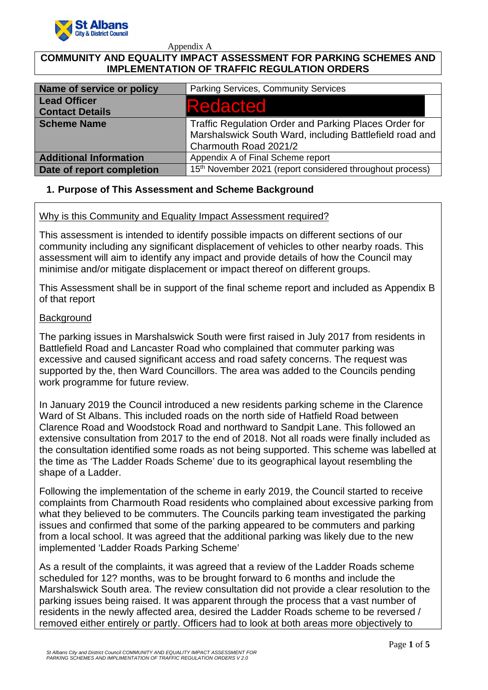

Appendix A

# **COMMUNITY AND EQUALITY IMPACT ASSESSMENT FOR PARKING SCHEMES AND IMPLEMENTATION OF TRAFFIC REGULATION ORDERS**

| Name of service or policy                     | Parking Services, Community Services                                                                                                      |
|-----------------------------------------------|-------------------------------------------------------------------------------------------------------------------------------------------|
| <b>Lead Officer</b><br><b>Contact Details</b> | Redacted                                                                                                                                  |
| <b>Scheme Name</b>                            | Traffic Regulation Order and Parking Places Order for<br>Marshalswick South Ward, including Battlefield road and<br>Charmouth Road 2021/2 |
| <b>Additional Information</b>                 | Appendix A of Final Scheme report                                                                                                         |
| Date of report completion                     | 15 <sup>th</sup> November 2021 (report considered throughout process)                                                                     |

# **1. Purpose of This Assessment and Scheme Background**

### Why is this Community and Equality Impact Assessment required?

This assessment is intended to identify possible impacts on different sections of our community including any significant displacement of vehicles to other nearby roads. This assessment will aim to identify any impact and provide details of how the Council may minimise and/or mitigate displacement or impact thereof on different groups.

This Assessment shall be in support of the final scheme report and included as Appendix B of that report

### **Background**

The parking issues in Marshalswick South were first raised in July 2017 from residents in Battlefield Road and Lancaster Road who complained that commuter parking was excessive and caused significant access and road safety concerns. The request was supported by the, then Ward Councillors. The area was added to the Councils pending work programme for future review.

In January 2019 the Council introduced a new residents parking scheme in the Clarence Ward of St Albans. This included roads on the north side of Hatfield Road between Clarence Road and Woodstock Road and northward to Sandpit Lane. This followed an extensive consultation from 2017 to the end of 2018. Not all roads were finally included as the consultation identified some roads as not being supported. This scheme was labelled at the time as 'The Ladder Roads Scheme' due to its geographical layout resembling the shape of a Ladder.

Following the implementation of the scheme in early 2019, the Council started to receive complaints from Charmouth Road residents who complained about excessive parking from what they believed to be commuters. The Councils parking team investigated the parking issues and confirmed that some of the parking appeared to be commuters and parking from a local school. It was agreed that the additional parking was likely due to the new implemented 'Ladder Roads Parking Scheme'

As a result of the complaints, it was agreed that a review of the Ladder Roads scheme scheduled for 12? months, was to be brought forward to 6 months and include the Marshalswick South area. The review consultation did not provide a clear resolution to the parking issues being raised. It was apparent through the process that a vast number of residents in the newly affected area, desired the Ladder Roads scheme to be reversed / removed either entirely or partly. Officers had to look at both areas more objectively to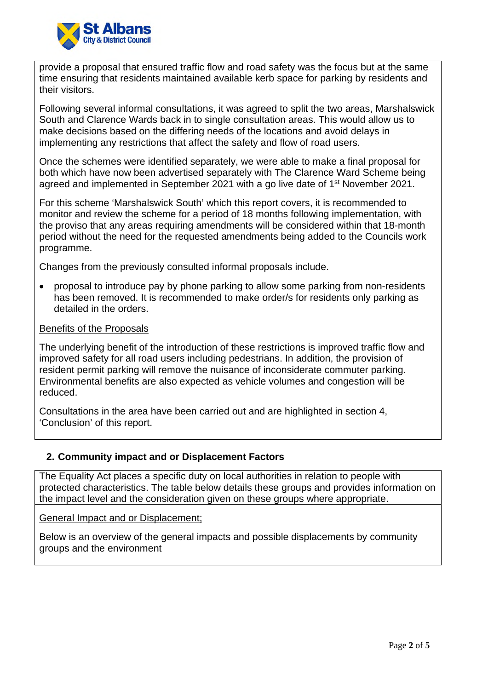

provide a proposal that ensured traffic flow and road safety was the focus but at the same time ensuring that residents maintained available kerb space for parking by residents and their visitors.

Following several informal consultations, it was agreed to split the two areas, Marshalswick South and Clarence Wards back in to single consultation areas. This would allow us to make decisions based on the differing needs of the locations and avoid delays in implementing any restrictions that affect the safety and flow of road users.

Once the schemes were identified separately, we were able to make a final proposal for both which have now been advertised separately with The Clarence Ward Scheme being agreed and implemented in September 2021 with a go live date of 1st November 2021.

For this scheme 'Marshalswick South' which this report covers, it is recommended to monitor and review the scheme for a period of 18 months following implementation, with the proviso that any areas requiring amendments will be considered within that 18-month period without the need for the requested amendments being added to the Councils work programme.

Changes from the previously consulted informal proposals include.

 proposal to introduce pay by phone parking to allow some parking from non-residents has been removed. It is recommended to make order/s for residents only parking as detailed in the orders.

#### Benefits of the Proposals

The underlying benefit of the introduction of these restrictions is improved traffic flow and improved safety for all road users including pedestrians. In addition, the provision of resident permit parking will remove the nuisance of inconsiderate commuter parking. Environmental benefits are also expected as vehicle volumes and congestion will be reduced.

Consultations in the area have been carried out and are highlighted in section 4, 'Conclusion' of this report.

#### **2. Community impact and or Displacement Factors**

The Equality Act places a specific duty on local authorities in relation to people with protected characteristics. The table below details these groups and provides information on the impact level and the consideration given on these groups where appropriate.

General Impact and or Displacement;

Below is an overview of the general impacts and possible displacements by community groups and the environment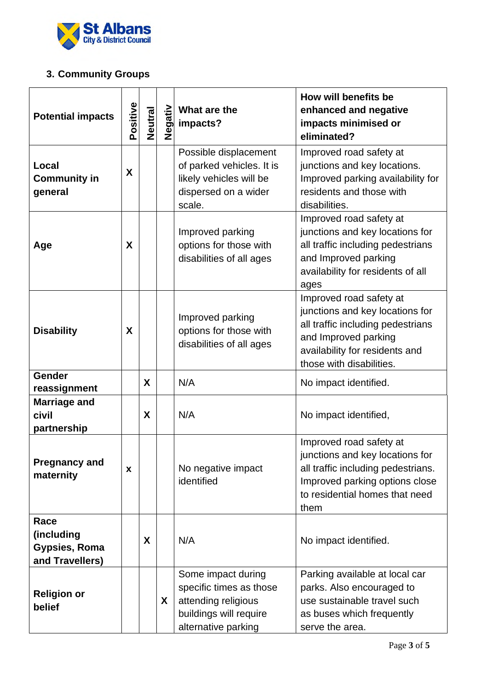

# **3. Community Groups**

| <b>Potential impacts</b>                                      | Positive | <b>Neutral</b> | Negativ | What are the<br>impacts?                                                                                              | How will benefits be<br>enhanced and negative<br>impacts minimised or<br>eliminated?                                                                                                  |
|---------------------------------------------------------------|----------|----------------|---------|-----------------------------------------------------------------------------------------------------------------------|---------------------------------------------------------------------------------------------------------------------------------------------------------------------------------------|
| Local<br><b>Community in</b><br>general                       | X        |                |         | Possible displacement<br>of parked vehicles. It is<br>likely vehicles will be<br>dispersed on a wider<br>scale.       | Improved road safety at<br>junctions and key locations.<br>Improved parking availability for<br>residents and those with<br>disabilities.                                             |
| Age                                                           | X        |                |         | Improved parking<br>options for those with<br>disabilities of all ages                                                | Improved road safety at<br>junctions and key locations for<br>all traffic including pedestrians<br>and Improved parking<br>availability for residents of all<br>ages                  |
| <b>Disability</b>                                             | X        |                |         | Improved parking<br>options for those with<br>disabilities of all ages                                                | Improved road safety at<br>junctions and key locations for<br>all traffic including pedestrians<br>and Improved parking<br>availability for residents and<br>those with disabilities. |
| <b>Gender</b><br>reassignment                                 |          | X              |         | N/A                                                                                                                   | No impact identified.                                                                                                                                                                 |
| <b>Marriage and</b><br>civil<br>partnership                   |          | X              |         | N/A                                                                                                                   | No impact identified,                                                                                                                                                                 |
| <b>Pregnancy and</b><br>maternity                             | X        |                |         | No negative impact<br>identified                                                                                      | Improved road safety at<br>junctions and key locations for<br>all traffic including pedestrians.<br>Improved parking options close<br>to residential homes that need<br>them          |
| Race<br>(including<br><b>Gypsies, Roma</b><br>and Travellers) |          | X              |         | N/A                                                                                                                   | No impact identified.                                                                                                                                                                 |
| <b>Religion or</b><br>belief                                  |          |                | X       | Some impact during<br>specific times as those<br>attending religious<br>buildings will require<br>alternative parking | Parking available at local car<br>parks. Also encouraged to<br>use sustainable travel such<br>as buses which frequently<br>serve the area.                                            |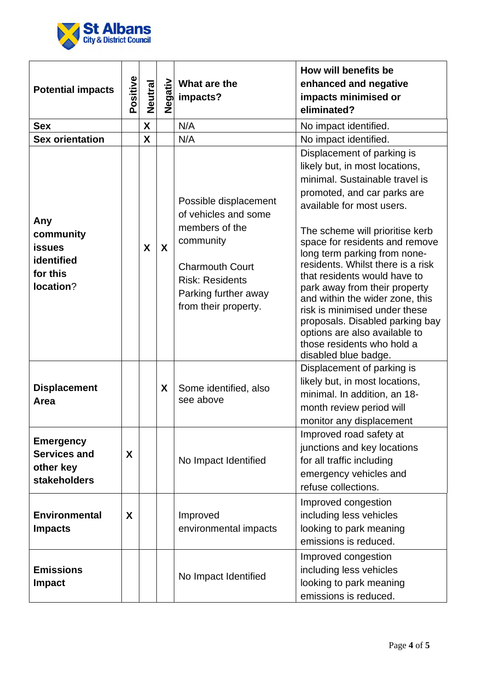

| <b>Potential impacts</b>                                                    | Positive | <b>Neutral</b> |                           | $\frac{2}{3}$ What are<br>a impacts?<br>What are the                                                                                                                             | How will benefits be<br>enhanced and negative<br>impacts minimised or<br>eliminated?                                                                                                                                                                                                                                                                                                                                                                                                                                                                                |
|-----------------------------------------------------------------------------|----------|----------------|---------------------------|----------------------------------------------------------------------------------------------------------------------------------------------------------------------------------|---------------------------------------------------------------------------------------------------------------------------------------------------------------------------------------------------------------------------------------------------------------------------------------------------------------------------------------------------------------------------------------------------------------------------------------------------------------------------------------------------------------------------------------------------------------------|
| <b>Sex</b>                                                                  |          | X              |                           | N/A                                                                                                                                                                              | No impact identified.                                                                                                                                                                                                                                                                                                                                                                                                                                                                                                                                               |
| <b>Sex orientation</b>                                                      |          | X              |                           | N/A                                                                                                                                                                              | No impact identified.                                                                                                                                                                                                                                                                                                                                                                                                                                                                                                                                               |
| Any<br>community<br><b>issues</b><br>identified<br>for this<br>location?    |          | X              | $\boldsymbol{\mathsf{X}}$ | Possible displacement<br>of vehicles and some<br>members of the<br>community<br><b>Charmouth Court</b><br><b>Risk: Residents</b><br>Parking further away<br>from their property. | Displacement of parking is<br>likely but, in most locations,<br>minimal. Sustainable travel is<br>promoted, and car parks are<br>available for most users.<br>The scheme will prioritise kerb<br>space for residents and remove<br>long term parking from none-<br>residents. Whilst there is a risk<br>that residents would have to<br>park away from their property<br>and within the wider zone, this<br>risk is minimised under these<br>proposals. Disabled parking bay<br>options are also available to<br>those residents who hold a<br>disabled blue badge. |
| <b>Displacement</b><br>Area                                                 |          |                | X                         | Some identified, also<br>see above                                                                                                                                               | Displacement of parking is<br>likely but, in most locations,<br>minimal. In addition, an 18-<br>month review period will<br>monitor any displacement                                                                                                                                                                                                                                                                                                                                                                                                                |
| <b>Emergency</b><br><b>Services and</b><br>other key<br><b>stakeholders</b> | X        |                |                           | No Impact Identified                                                                                                                                                             | Improved road safety at<br>junctions and key locations<br>for all traffic including<br>emergency vehicles and<br>refuse collections.                                                                                                                                                                                                                                                                                                                                                                                                                                |
| <b>Environmental</b><br><b>Impacts</b>                                      | X        |                |                           | Improved<br>environmental impacts                                                                                                                                                | Improved congestion<br>including less vehicles<br>looking to park meaning<br>emissions is reduced.                                                                                                                                                                                                                                                                                                                                                                                                                                                                  |
| <b>Emissions</b><br><b>Impact</b>                                           |          |                |                           | No Impact Identified                                                                                                                                                             | Improved congestion<br>including less vehicles<br>looking to park meaning<br>emissions is reduced.                                                                                                                                                                                                                                                                                                                                                                                                                                                                  |